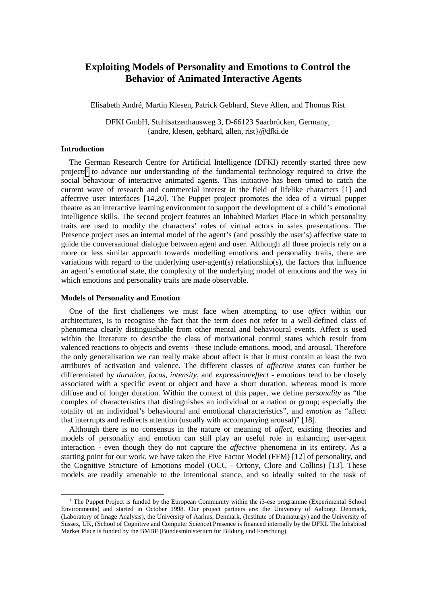# **Exploiting Models of Personality and Emotions to Control the Behavior of Animated Interactive Agents**

Elisabeth André, Martin Klesen, Patrick Gebhard, Steve Allen, and Thomas Rist

DFKI GmbH, Stuhlsatzenhausweg 3, D-66123 Saarbrücken, Germany, {andre, klesen, gebhard, allen, rist}@dfki.de

### **Introduction**

The German Research Centre for Artificial Intelligence (DFKI) recently started three new projects<sup>1</sup> to advance our understanding of the fundamental technology required to drive the social behaviour of interactive animated agents. This initiative has been timed to catch the current wave of research and commercial interest in the field of lifelike characters [1] and affective user interfaces [14,20]. The Puppet project promotes the idea of a virtual puppet theatre as an interactive learning environment to support the development of a child's emotional intelligence skills. The second project features an Inhabited Market Place in which personality traits are used to modify the characters' roles of virtual actors in sales presentations. The Presence project uses an internal model of the agent's (and possibly the user's) affective state to guide the conversational dialogue between agent and user. Although all three projects rely on a more or less similar approach towards modelling emotions and personality traits, there are variations with regard to the underlying user-agent(s) relationship(s), the factors that influence an agent's emotional state, the complexity of the underlying model of emotions and the way in which emotions and personality traits are made observable.

### **Models of Personality and Emotion**

One of the first challenges we must face when attempting to use *affect* within our architectures, is to recognise the fact that the term does not refer to a well-defined class of phenomena clearly distinguishable from other mental and behavioural events. Affect is used within the literature to describe the class of motivational control states which result from valenced reactions to objects and events - these include emotions, mood, and arousal. Therefore the only generalisation we can really make about affect is that it must contain at least the two attributes of activation and valence. The different classes of *affective states* can further be differentiated by *duration*, *focus*, *intensity*, and *expression*/*effect* - emotions tend to be closely associated with a specific event or object and have a short duration, whereas mood is more diffuse and of longer duration. Within the context of this paper, we define *personality* as "the complex of characteristics that distinguishes an individual or a nation or group; especially the totality of an individual's behavioural and emotional characteristics", and *emotion* as "affect that interrupts and redirects attention (usually with accompanying arousal)" [18].

Although there is no consensus in the nature or meaning of *affect*, existing theories and models of personality and emotion can still play an useful role in enhancing user-agent interaction - even though they do not capture the *affective* phenomena in its entirety. As a starting point for our work, we have taken the Five Factor Model (FFM) [12] of personality, and the Cognitive Structure of Emotions model (OCC - Ortony, Clore and Collins) [13]. These models are readily amenable to the intentional stance, and so ideally suited to the task of

<sup>&</sup>lt;sup>1</sup> The Puppet Project is funded by the European Community within the i3-ese programme (Experimental School Environments) and started in October 1998. Our project partners are: the University of Aalborg. Denmark, (Laboratory of Image Analysis), the University of Aarhus, Denmark, (Institute of Dramaturgy) and the University of Sussex, UK, (School of Cognitive and Computer Science).Presence is financed internally by the DFKI. The Inhabited Market Place is funded by the BMBF (Bundesministerium für Bildung und Forschung).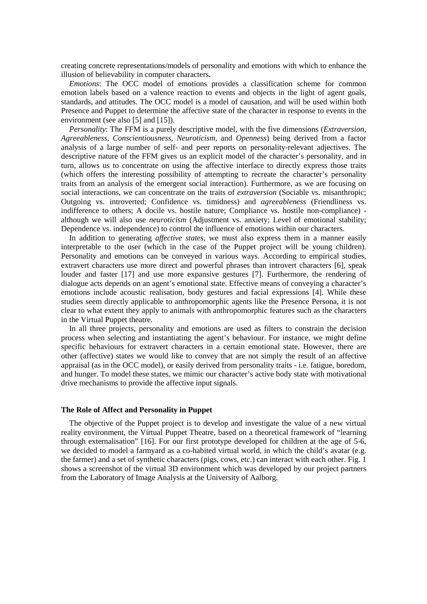creating concrete representations/models of personality and emotions with which to enhance the illusion of believability in computer characters.

*Emotions*: The OCC model of emotions provides a classification scheme for common emotion labels based on a valence reaction to events and objects in the light of agent goals, standards, and attitudes. The OCC model is a model of causation, and will be used within both Presence and Puppet to determine the affective state of the character in response to events in the environment (see also [5] and [15]).

*Personality*: The FFM is a purely descriptive model, with the five dimensions (*Extraversion*, *Agreeableness*, *Conscientiousness*, *Neuroticism*, and *Openness*) being derived from a factor analysis of a large number of self- and peer reports on personality-relevant adjectives. The descriptive nature of the FFM gives us an explicit model of the character's personality, and in turn, allows us to concentrate on using the affective interface to directly express those traits (which offers the interesting possibility of attempting to recreate the character's personality traits from an analysis of the emergent social interaction). Furthermore, as we are focusing on social interactions, we can concentrate on the traits of *extraversion* (Sociable vs. misanthropic; Outgoing vs. introverted; Confidence vs. timidness) and *agreeableness* (Friendliness vs. indifference to others; A docile vs. hostile nature; Compliance vs. hostile non-compliance) although we will also use *neuroticism* (Adjustment vs. anxiety; Level of emotional stability; Dependence vs. independence) to control the influence of emotions within our characters.

In addition to generating *affective states*, we must also express them in a manner easily interpretable to the user (which in the case of the Puppet project will be young children). Personality and emotions can be conveyed in various ways. According to empirical studies, extravert characters use more direct and powerful phrases than introvert characters [6], speak louder and faster [17] and use more expansive gestures [7]. Furthermore, the rendering of dialogue acts depends on an agent's emotional state. Effective means of conveying a character's emotions include acoustic realisation, body gestures and facial expressions [4]. While these studies seem directly applicable to anthropomorphic agents like the Presence Persona, it is not clear to what extent they apply to animals with anthropomorphic features such as the characters in the Virtual Puppet theatre.

In all three projects, personality and emotions are used as filters to constrain the decision process when selecting and instantiating the agent's behaviour. For instance, we might define specific behaviours for extravert characters in a certain emotional state. However, there are other (affective) states we would like to convey that are not simply the result of an affective appraisal (as in the OCC model), or easily derived from personality traits - i.e. fatigue, boredom, and hunger. To model these states, we mimic our character's active body state with motivational drive mechanisms to provide the affective input signals.

### **The Role of Affect and Personality in Puppet**

The objective of the Puppet project is to develop and investigate the value of a new virtual reality environment, the Virtual Puppet Theatre, based on a theoretical framework of "learning through externalisation" [16]. For our first prototype developed for children at the age of 5-6, we decided to model a farmyard as a co-habited virtual world, in which the child's avatar (e.g. the farmer) and a set of synthetic characters (pigs, cows, etc.) can interact with each other. Fig. 1 shows a screenshot of the virtual 3D environment which was developed by our project partners from the Laboratory of Image Analysis at the University of Aalborg.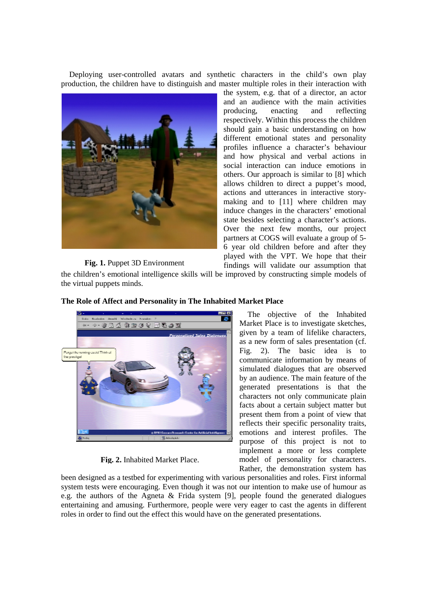Deploying user-controlled avatars and synthetic characters in the child's own play production, the children have to distinguish and master multiple roles in their interaction with



# the system, e.g. that of a director, an actor and an audience with the main activities producing, enacting and reflecting respectively. Within this process the children should gain a basic understanding on how different emotional states and personality profiles influence a character's behaviour and how physical and verbal actions in social interaction can induce emotions in others. Our approach is similar to [8] which allows children to direct a puppet's mood, actions and utterances in interactive storymaking and to [11] where children may induce changes in the characters' emotional state besides selecting a character's actions. Over the next few months, our project partners at COGS will evaluate a group of 5- 6 year old children before and after they played with the VPT. We hope that their findings will validate our assumption that

## **Fig. 1.** Puppet 3D Environment

the children's emotional intelligence skills will be improved by constructing simple models of the virtual puppets minds.



### **The Role of Affect and Personality in The Inhabited Market Place**

**Fig. 2.** Inhabited Market Place. **Fig. 2.** Inhabited Market Place.

The objective of the Inhabited Market Place is to investigate sketches, given by a team of lifelike characters, as a new form of sales presentation (cf. Fig. 2). The basic idea is to communicate information by means of simulated dialogues that are observed by an audience. The main feature of the generated presentations is that the characters not only communicate plain facts about a certain subject matter but present them from a point of view that reflects their specific personality traits, emotions and interest profiles. The purpose of this project is not to implement a more or less complete model of personality for characters. Rather, the demonstration system has

been designed as a testbed for experimenting with various personalities and roles. First informal system tests were encouraging. Even though it was not our intention to make use of humour as e.g. the authors of the Agneta & Frida system [9], people found the generated dialogues entertaining and amusing. Furthermore, people were very eager to cast the agents in different roles in order to find out the effect this would have on the generated presentations.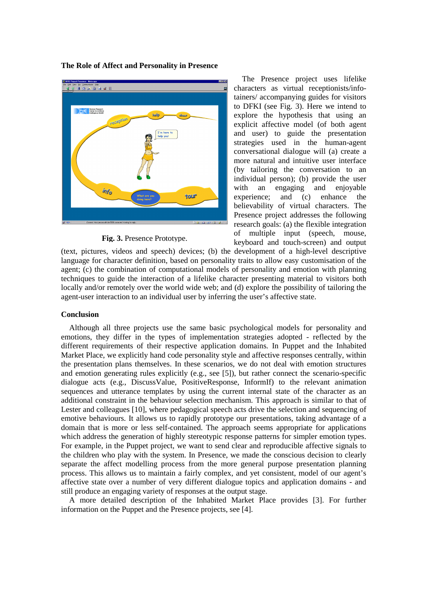

**The Role of Affect and Personality in Presence**

**Fig. 3.** Presence Prototype.

The Presence project uses lifelike characters as virtual receptionists/infotainers/ accompanying guides for visitors to DFKI (see Fig. 3). Here we intend to explore the hypothesis that using an explicit affective model (of both agent and user) to guide the presentation strategies used in the human-agent conversational dialogue will (a) create a more natural and intuitive user interface (by tailoring the conversation to an individual person); (b) provide the user with an engaging and enjoyable experience; and (c) enhance the believability of virtual characters. The Presence project addresses the following research goals: (a) the flexible integration of multiple input (speech, mouse, keyboard and touch-screen) and output

(text, pictures, videos and speech) devices; (b) the development of a high-level descriptive language for character definition, based on personality traits to allow easy customisation of the agent; (c) the combination of computational models of personality and emotion with planning techniques to guide the interaction of a lifelike character presenting material to visitors both locally and/or remotely over the world wide web; and (d) explore the possibility of tailoring the agent-user interaction to an individual user by inferring the user's affective state.

### **Conclusion**

Although all three projects use the same basic psychological models for personality and emotions, they differ in the types of implementation strategies adopted - reflected by the different requirements of their respective application domains. In Puppet and the Inhabited Market Place, we explicitly hand code personality style and affective responses centrally, within the presentation plans themselves. In these scenarios, we do not deal with emotion structures and emotion generating rules explicitly (e.g., see [5]), but rather connect the scenario-specific dialogue acts (e.g., DiscussValue, PositiveResponse, InformIf) to the relevant animation sequences and utterance templates by using the current internal state of the character as an additional constraint in the behaviour selection mechanism. This approach is similar to that of Lester and colleagues [10], where pedagogical speech acts drive the selection and sequencing of emotive behaviours. It allows us to rapidly prototype our presentations, taking advantage of a domain that is more or less self-contained. The approach seems appropriate for applications which address the generation of highly stereotypic response patterns for simpler emotion types. For example, in the Puppet project, we want to send clear and reproducible affective signals to the children who play with the system. In Presence, we made the conscious decision to clearly separate the affect modelling process from the more general purpose presentation planning process. This allows us to maintain a fairly complex, and yet consistent, model of our agent's affective state over a number of very different dialogue topics and application domains - and still produce an engaging variety of responses at the output stage.

A more detailed description of the Inhabited Market Place provides [3]. For further information on the Puppet and the Presence projects, see [4].